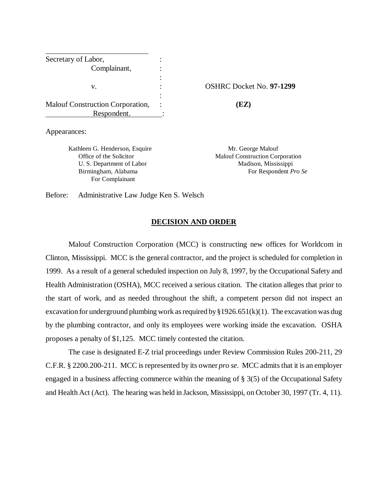| Secretary of Labor,              |                    |
|----------------------------------|--------------------|
| Complainant,                     |                    |
|                                  |                    |
| v.                               | <b>OSHRC</b> Docke |
|                                  |                    |
| Malouf Construction Corporation, | (EZ)               |
| Respondent.                      |                    |

Appearances:

Kathleen G. Henderson, Esquire Mr. George Malouf For Complainant

**OSHRC Docket No. 97-1299** 

Office of the Solicitor Malouf Construction Corporation U. S. Department of Labor Madison, Mississippi Birmingham, Alabama **For Respondent** *Pro Se* 

Before: Administrative Law Judge Ken S. Welsch

### **DECISION AND ORDER**

Malouf Construction Corporation (MCC) is constructing new offices for Worldcom in Clinton, Mississippi. MCC is the general contractor, and the project is scheduled for completion in 1999. As a result of a general scheduled inspection on July 8, 1997, by the Occupational Safety and Health Administration (OSHA), MCC received a serious citation. The citation alleges that prior to the start of work, and as needed throughout the shift, a competent person did not inspect an excavation for underground plumbing work as required by  $\S 1926.651(k)(1)$ . The excavation was dug by the plumbing contractor, and only its employees were working inside the excavation. OSHA proposes a penalty of \$1,125. MCC timely contested the citation.

The case is designated E-Z trial proceedings under Review Commission Rules 200-211, 29 C.F.R. § 2200.200-211. MCC is represented by its owner *pro se*. MCC admits that it is an employer engaged in a business affecting commerce within the meaning of § 3(5) of the Occupational Safety and Health Act (Act). The hearing was held in Jackson, Mississippi, on October 30, 1997 (Tr. 4, 11)*.*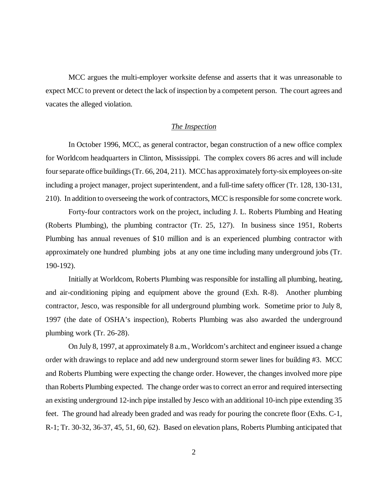MCC argues the multi-employer worksite defense and asserts that it was unreasonable to expect MCC to prevent or detect the lack of inspection by a competent person. The court agrees and vacates the alleged violation.

## *The Inspection*

In October 1996, MCC, as general contractor, began construction of a new office complex for Worldcom headquarters in Clinton, Mississippi. The complex covers 86 acres and will include four separate office buildings (Tr. 66, 204, 211). MCC has approximately forty-six employees on-site including a project manager, project superintendent, and a full-time safety officer (Tr. 128, 130-131, 210). In addition to overseeing the work of contractors, MCC is responsible for some concrete work.

 Forty-four contractors work on the project, including J. L. Roberts Plumbing and Heating (Roberts Plumbing), the plumbing contractor (Tr. 25, 127). In business since 1951, Roberts Plumbing has annual revenues of \$10 million and is an experienced plumbing contractor with approximately one hundred plumbing jobs at any one time including many underground jobs (Tr. 190-192).

 Initially at Worldcom, Roberts Plumbing was responsible for installing all plumbing, heating, and air-conditioning piping and equipment above the ground (Exh. R-8). Another plumbing contractor, Jesco, was responsible for all underground plumbing work. Sometime prior to July 8, 1997 (the date of OSHA's inspection), Roberts Plumbing was also awarded the underground plumbing work (Tr. 26-28).

On July 8, 1997, at approximately 8 a.m., Worldcom's architect and engineer issued a change order with drawings to replace and add new underground storm sewer lines for building #3. MCC and Roberts Plumbing were expecting the change order. However, the changes involved more pipe than Roberts Plumbing expected. The change order was to correct an error and required intersecting an existing underground 12-inch pipe installed by Jesco with an additional 10-inch pipe extending 35 feet. The ground had already been graded and was ready for pouring the concrete floor (Exhs. C-1, R-1; Tr. 30-32, 36-37, 45, 51, 60, 62). Based on elevation plans, Roberts Plumbing anticipated that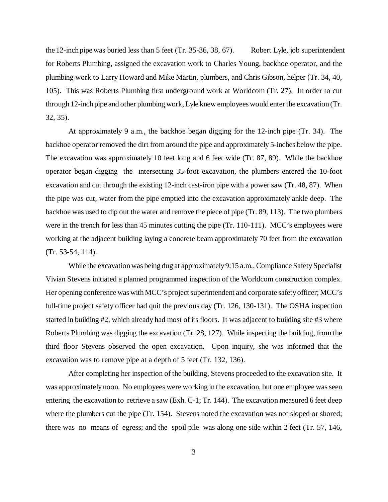the 12-inch pipe was buried less than 5 feet (Tr. 35-36, 38, 67). Robert Lyle, job superintendent for Roberts Plumbing, assigned the excavation work to Charles Young, backhoe operator, and the plumbing work to Larry Howard and Mike Martin, plumbers, and Chris Gibson, helper (Tr. 34, 40, 105). This was Roberts Plumbing first underground work at Worldcom (Tr. 27). In order to cut through 12-inch pipe and other plumbing work, Lyle knew employees would enter the excavation (Tr. 32, 35).

At approximately 9 a.m., the backhoe began digging for the 12-inch pipe (Tr. 34). The backhoe operator removed the dirt from around the pipe and approximately 5-inches below the pipe. The excavation was approximately 10 feet long and 6 feet wide (Tr. 87, 89). While the backhoe operator began digging the intersecting 35-foot excavation, the plumbers entered the 10-foot excavation and cut through the existing 12-inch cast-iron pipe with a power saw (Tr. 48, 87). When the pipe was cut, water from the pipe emptied into the excavation approximately ankle deep. The backhoe was used to dip out the water and remove the piece of pipe (Tr. 89, 113). The two plumbers were in the trench for less than 45 minutes cutting the pipe (Tr. 110-111). MCC's employees were working at the adjacent building laying a concrete beam approximately 70 feet from the excavation (Tr. 53-54, 114).

While the excavation was being dug at approximately 9:15 a.m., Compliance Safety Specialist Vivian Stevens initiated a planned programmed inspection of the Worldcom construction complex. Her opening conference was with MCC's project superintendent and corporate safety officer; MCC's full-time project safety officer had quit the previous day (Tr. 126, 130-131). The OSHA inspection started in building #2, which already had most of its floors. It was adjacent to building site #3 where Roberts Plumbing was digging the excavation (Tr. 28, 127). While inspecting the building, from the third floor Stevens observed the open excavation. Upon inquiry, she was informed that the excavation was to remove pipe at a depth of 5 feet (Tr. 132, 136).

After completing her inspection of the building, Stevens proceeded to the excavation site. It was approximately noon. No employees were working in the excavation, but one employee was seen entering the excavation to retrieve a saw (Exh. C-1; Tr. 144). The excavation measured 6 feet deep where the plumbers cut the pipe (Tr. 154). Stevens noted the excavation was not sloped or shored; there was no means of egress; and the spoil pile was along one side within 2 feet (Tr. 57, 146,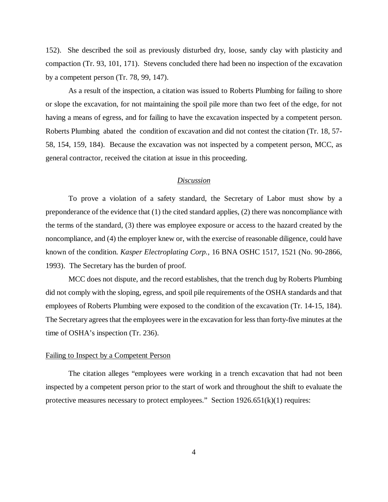152). She described the soil as previously disturbed dry, loose, sandy clay with plasticity and compaction (Tr. 93, 101, 171). Stevens concluded there had been no inspection of the excavation by a competent person (Tr. 78, 99, 147).

As a result of the inspection, a citation was issued to Roberts Plumbing for failing to shore or slope the excavation, for not maintaining the spoil pile more than two feet of the edge, for not having a means of egress, and for failing to have the excavation inspected by a competent person. Roberts Plumbing abated the condition of excavation and did not contest the citation (Tr. 18, 57- 58, 154, 159, 184). Because the excavation was not inspected by a competent person, MCC, as general contractor, received the citation at issue in this proceeding.

## *Discussion*

To prove a violation of a safety standard, the Secretary of Labor must show by a preponderance of the evidence that (1) the cited standard applies, (2) there was noncompliance with the terms of the standard, (3) there was employee exposure or access to the hazard created by the noncompliance, and (4) the employer knew or, with the exercise of reasonable diligence, could have known of the condition. *Kasper Electroplating Corp.,* 16 BNA OSHC 1517, 1521 (No. 90-2866, 1993). The Secretary has the burden of proof.

MCC does not dispute, and the record establishes, that the trench dug by Roberts Plumbing did not comply with the sloping, egress, and spoil pile requirements of the OSHA standards and that employees of Roberts Plumbing were exposed to the condition of the excavation (Tr. 14-15, 184). The Secretary agrees that the employees were in the excavation for less than forty-five minutes at the time of OSHA's inspection (Tr. 236).

#### Failing to Inspect by a Competent Person

The citation alleges "employees were working in a trench excavation that had not been inspected by a competent person prior to the start of work and throughout the shift to evaluate the protective measures necessary to protect employees." Section  $1926.651(k)(1)$  requires: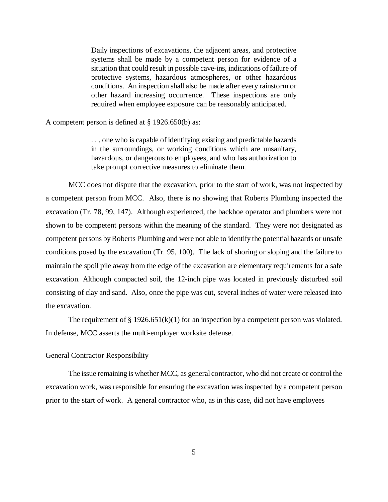Daily inspections of excavations, the adjacent areas, and protective systems shall be made by a competent person for evidence of a situation that could result in possible cave-ins, indications of failure of protective systems, hazardous atmospheres, or other hazardous conditions. An inspection shall also be made after every rainstorm or other hazard increasing occurrence. These inspections are only required when employee exposure can be reasonably anticipated.

A competent person is defined at § 1926.650(b) as:

. . . one who is capable of identifying existing and predictable hazards in the surroundings, or working conditions which are unsanitary, hazardous, or dangerous to employees, and who has authorization to take prompt corrective measures to eliminate them.

MCC does not dispute that the excavation, prior to the start of work, was not inspected by a competent person from MCC. Also, there is no showing that Roberts Plumbing inspected the excavation (Tr. 78, 99, 147). Although experienced, the backhoe operator and plumbers were not shown to be competent persons within the meaning of the standard. They were not designated as competent persons by Roberts Plumbing and were not able to identify the potential hazards or unsafe conditions posed by the excavation (Tr. 95, 100). The lack of shoring or sloping and the failure to maintain the spoil pile away from the edge of the excavation are elementary requirements for a safe excavation. Although compacted soil, the 12-inch pipe was located in previously disturbed soil consisting of clay and sand. Also, once the pipe was cut, several inches of water were released into the excavation.

The requirement of  $\S 1926.651(k)(1)$  for an inspection by a competent person was violated. In defense, MCC asserts the multi-employer worksite defense.

### General Contractor Responsibility

The issue remaining is whether MCC, as general contractor, who did not create or control the excavation work, was responsible for ensuring the excavation was inspected by a competent person prior to the start of work. A general contractor who, as in this case, did not have employees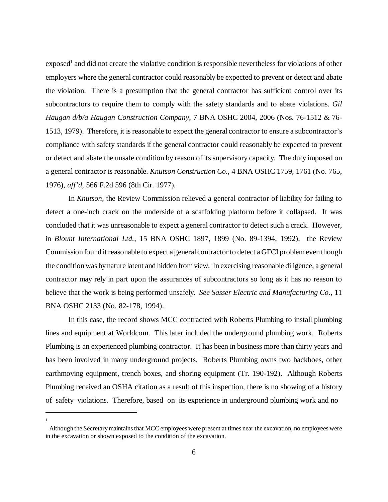exposed<sup>1</sup> and did not create the violative condition is responsible nevertheless for violations of other employers where the general contractor could reasonably be expected to prevent or detect and abate the violation. There is a presumption that the general contractor has sufficient control over its subcontractors to require them to comply with the safety standards and to abate violations. *Gil Haugan d/b/a Haugan Construction Company*, 7 BNA OSHC 2004, 2006 (Nos. 76-1512 & 76- 1513, 1979). Therefore, it is reasonable to expect the general contractor to ensure a subcontractor's compliance with safety standards if the general contractor could reasonably be expected to prevent or detect and abate the unsafe condition by reason of its supervisory capacity. The duty imposed on a general contractor is reasonable. *Knutson Construction Co*., 4 BNA OSHC 1759, 1761 (No. 765, 1976), *aff'd,* 566 F.2d 596 (8th Cir. 1977).

In *Knutson,* the Review Commission relieved a general contractor of liability for failing to detect a one-inch crack on the underside of a scaffolding platform before it collapsed. It was concluded that it was unreasonable to expect a general contractor to detect such a crack. However, in *Blount International Ltd.*, 15 BNA OSHC 1897, 1899 (No. 89-1394, 1992), the Review Commission found it reasonable to expect a general contractor to detect a GFCI problem even though the condition was by nature latent and hidden from view*.* In exercising reasonable diligence, a general contractor may rely in part upon the assurances of subcontractors so long as it has no reason to believe that the work is being performed unsafely. *See Sasser Electric and Manufacturing Co.*, 11 BNA OSHC 2133 (No. 82-178, 1994).

In this case, the record shows MCC contracted with Roberts Plumbing to install plumbing lines and equipment at Worldcom. This later included the underground plumbing work. Roberts Plumbing is an experienced plumbing contractor. It has been in business more than thirty years and has been involved in many underground projects. Roberts Plumbing owns two backhoes, other earthmoving equipment, trench boxes, and shoring equipment (Tr. 190-192). Although Roberts Plumbing received an OSHA citation as a result of this inspection, there is no showing of a history of safety violations. Therefore, based on its experience in underground plumbing work and no

1

Although the Secretary maintains that MCC employees were present at times near the excavation, no employees were in the excavation or shown exposed to the condition of the excavation.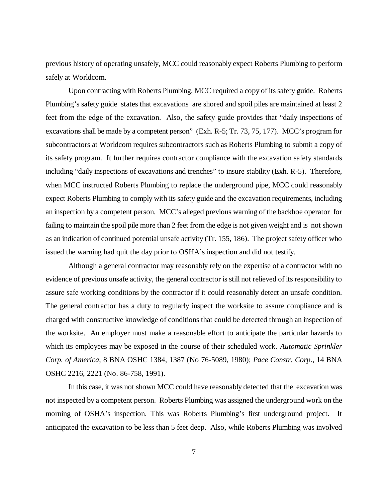previous history of operating unsafely, MCC could reasonably expect Roberts Plumbing to perform safely at Worldcom.

Upon contracting with Roberts Plumbing, MCC required a copy of its safety guide. Roberts Plumbing's safety guide states that excavations are shored and spoil piles are maintained at least 2 feet from the edge of the excavation. Also, the safety guide provides that "daily inspections of excavations shall be made by a competent person" (Exh. R-5; Tr. 73, 75, 177). MCC's program for subcontractors at Worldcom requires subcontractors such as Roberts Plumbing to submit a copy of its safety program. It further requires contractor compliance with the excavation safety standards including "daily inspections of excavations and trenches" to insure stability (Exh. R-5). Therefore, when MCC instructed Roberts Plumbing to replace the underground pipe, MCC could reasonably expect Roberts Plumbing to comply with its safety guide and the excavation requirements, including an inspection by a competent person. MCC's alleged previous warning of the backhoe operator for failing to maintain the spoil pile more than 2 feet from the edge is not given weight and is not shown as an indication of continued potential unsafe activity (Tr. 155, 186). The project safety officer who issued the warning had quit the day prior to OSHA's inspection and did not testify.

Although a general contractor may reasonably rely on the expertise of a contractor with no evidence of previous unsafe activity, the general contractor is still not relieved of its responsibility to assure safe working conditions by the contractor if it could reasonably detect an unsafe condition. The general contractor has a duty to regularly inspect the worksite to assure compliance and is charged with constructive knowledge of conditions that could be detected through an inspection of the worksite. An employer must make a reasonable effort to anticipate the particular hazards to which its employees may be exposed in the course of their scheduled work. *Automatic Sprinkler Corp. of America*, 8 BNA OSHC 1384, 1387 (No 76-5089, 1980); *Pace Constr. Corp*., 14 BNA OSHC 2216, 2221 (No. 86-758, 1991).

In this case, it was not shown MCC could have reasonably detected that the excavation was not inspected by a competent person. Roberts Plumbing was assigned the underground work on the morning of OSHA's inspection. This was Roberts Plumbing's first underground project. It anticipated the excavation to be less than 5 feet deep. Also, while Roberts Plumbing was involved